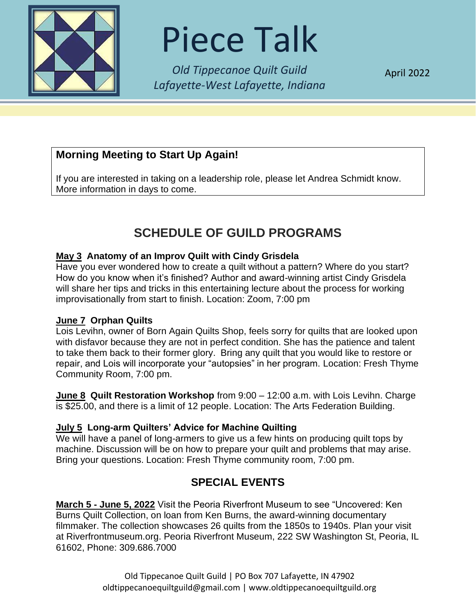

# Piece Talk

*Old Tippecanoe Quilt Guild Lafayette-West Lafayette, Indiana*

April 2022

## **Morning Meeting to Start Up Again!**

If you are interested in taking on a leadership role, please let Andrea Schmidt know. More information in days to come.

# **SCHEDULE OF GUILD PROGRAMS**

#### **May 3 Anatomy of an Improv Quilt with Cindy Grisdela**

Have you ever wondered how to create a quilt without a pattern? Where do you start? How do you know when it's finished? Author and award-winning artist Cindy Grisdela will share her tips and tricks in this entertaining lecture about the process for working improvisationally from start to finish. Location: Zoom, 7:00 pm

#### **June 7 Orphan Quilts**

Lois Levihn, owner of Born Again Quilts Shop, feels sorry for quilts that are looked upon with disfavor because they are not in perfect condition. She has the patience and talent to take them back to their former glory. Bring any quilt that you would like to restore or repair, and Lois will incorporate your "autopsies" in her program. Location: Fresh Thyme Community Room, 7:00 pm.

**June 8 Quilt Restoration Workshop** from 9:00 – 12:00 a.m. with Lois Levihn. Charge is \$25.00, and there is a limit of 12 people. Location: The Arts Federation Building.

#### **July 5 Long-arm Quilters' Advice for Machine Quilting**

We will have a panel of long-armers to give us a few hints on producing quilt tops by machine. Discussion will be on how to prepare your quilt and problems that may arise. Bring your questions. Location: Fresh Thyme community room, 7:00 pm.

## **SPECIAL EVENTS**

**March 5 - June 5, 2022** Visit the Peoria Riverfront Museum to see "Uncovered: Ken Burns Quilt Collection, on loan from Ken Burns, the award-winning documentary filmmaker. The collection showcases 26 quilts from the 1850s to 1940s. Plan your visit at Riverfrontmuseum.org. Peoria Riverfront Museum, 222 SW Washington St, Peoria, IL 61602, Phone: 309.686.7000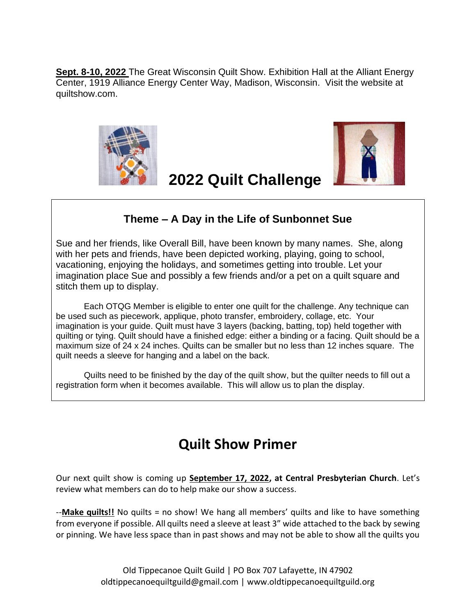**Sept. 8-10, 2022** The Great Wisconsin Quilt Show. Exhibition Hall at the Alliant Energy Center, 1919 Alliance Energy Center Way, Madison, Wisconsin. Visit the website at quiltshow.com.





## **Theme – A Day in the Life of Sunbonnet Sue**

**2022 Quilt Challenge**

Sue and her friends, like Overall Bill, have been known by many names. She, along with her pets and friends, have been depicted working, playing, going to school, vacationing, enjoying the holidays, and sometimes getting into trouble. Let your imagination place Sue and possibly a few friends and/or a pet on a quilt square and stitch them up to display.

Each OTQG Member is eligible to enter one quilt for the challenge. Any technique can be used such as piecework, applique, photo transfer, embroidery, collage, etc. Your imagination is your guide. Quilt must have 3 layers (backing, batting, top) held together with quilting or tying. Quilt should have a finished edge: either a binding or a facing. Quilt should be a maximum size of 24 x 24 inches. Quilts can be smaller but no less than 12 inches square. The quilt needs a sleeve for hanging and a label on the back.

Quilts need to be finished by the day of the quilt show, but the quilter needs to fill out a registration form when it becomes available. This will allow us to plan the display.

# **Quilt Show Primer**

Our next quilt show is coming up **September 17, 2022, at Central Presbyterian Church**. Let's review what members can do to help make our show a success.

--**Make quilts!!** No quilts = no show! We hang all members' quilts and like to have something from everyone if possible. All quilts need a sleeve at least 3" wide attached to the back by sewing or pinning. We have less space than in past shows and may not be able to show all the quilts you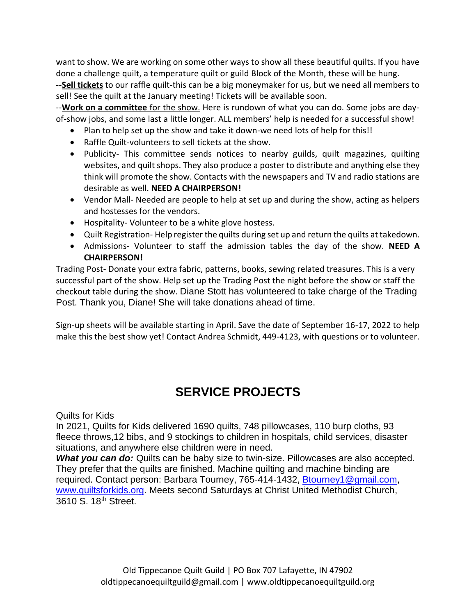want to show. We are working on some other ways to show all these beautiful quilts. If you have done a challenge quilt, a temperature quilt or guild Block of the Month, these will be hung.

--**Sell tickets** to our raffle quilt-this can be a big moneymaker for us, but we need all members to sell! See the quilt at the January meeting! Tickets will be available soon.

--**Work on a committee** for the show. Here is rundown of what you can do. Some jobs are dayof-show jobs, and some last a little longer. ALL members' help is needed for a successful show!

- Plan to help set up the show and take it down-we need lots of help for this!!
- Raffle Quilt-volunteers to sell tickets at the show.
- Publicity- This committee sends notices to nearby guilds, quilt magazines, quilting websites, and quilt shops. They also produce a poster to distribute and anything else they think will promote the show. Contacts with the newspapers and TV and radio stations are desirable as well. **NEED A CHAIRPERSON!**
- Vendor Mall- Needed are people to help at set up and during the show, acting as helpers and hostesses for the vendors.
- Hospitality- Volunteer to be a white glove hostess.
- Quilt Registration- Help register the quilts during set up and return the quilts at takedown.
- Admissions- Volunteer to staff the admission tables the day of the show. **NEED A CHAIRPERSON!**

Trading Post- Donate your extra fabric, patterns, books, sewing related treasures. This is a very successful part of the show. Help set up the Trading Post the night before the show or staff the checkout table during the show. Diane Stott has volunteered to take charge of the Trading Post. Thank you, Diane! She will take donations ahead of time.

Sign-up sheets will be available starting in April. Save the date of September 16-17, 2022 to help make this the best show yet! Contact Andrea Schmidt, 449-4123, with questions or to volunteer.

## **SERVICE PROJECTS**

#### Quilts for Kids

In 2021, Quilts for Kids delivered 1690 quilts, 748 pillowcases, 110 burp cloths, 93 fleece throws,12 bibs, and 9 stockings to children in hospitals, child services, disaster situations, and anywhere else children were in need.

**What you can do:** Quilts can be baby size to twin-size. Pillowcases are also accepted. They prefer that the quilts are finished. Machine quilting and machine binding are required. Contact person: Barbara Tourney, 765-414-1432, [Btourney1@gmail.com,](mailto:Btourney1@gmail.com) [www.quiltsforkids.org.](http://www.quiltsforkids.org/) Meets second Saturdays at Christ United Methodist Church, 3610 S. 18th Street.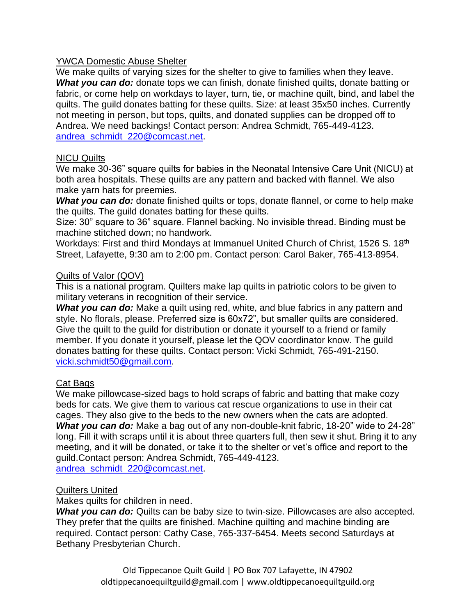#### YWCA Domestic Abuse Shelter

We make quilts of varying sizes for the shelter to give to families when they leave. **What you can do:** donate tops we can finish, donate finished quilts, donate batting or fabric, or come help on workdays to layer, turn, tie, or machine quilt, bind, and label the quilts. The guild donates batting for these quilts. Size: at least 35x50 inches. Currently not meeting in person, but tops, quilts, and donated supplies can be dropped off to Andrea. We need backings! Contact person: Andrea Schmidt, 765-449-4123. [andrea\\_schmidt\\_220@comcast.net.](mailto:andrea_schmidt_220@comcast.net)

#### NICU Quilts

We make 30-36" square quilts for babies in the Neonatal Intensive Care Unit (NICU) at both area hospitals. These quilts are any pattern and backed with flannel. We also make yarn hats for preemies.

**What you can do:** donate finished quilts or tops, donate flannel, or come to help make the quilts. The guild donates batting for these quilts.

Size: 30" square to 36" square. Flannel backing. No invisible thread. Binding must be machine stitched down; no handwork.

Workdays: First and third Mondays at Immanuel United Church of Christ, 1526 S. 18<sup>th</sup> Street, Lafayette, 9:30 am to 2:00 pm. Contact person: Carol Baker, 765-413-8954.

#### Quilts of Valor (QOV)

This is a national program. Quilters make lap quilts in patriotic colors to be given to military veterans in recognition of their service.

**What you can do:** Make a quilt using red, white, and blue fabrics in any pattern and style. No florals, please. Preferred size is 60x72", but smaller quilts are considered. Give the quilt to the guild for distribution or donate it yourself to a friend or family member. If you donate it yourself, please let the QOV coordinator know. The guild donates batting for these quilts. Contact person: Vicki Schmidt, 765-491-2150. [vicki.schmidt50@gmail.com.](mailto:vicki.schmidt50@gmail.com)

#### Cat Bags

We make pillowcase-sized bags to hold scraps of fabric and batting that make cozy beds for cats. We give them to various cat rescue organizations to use in their cat cages. They also give to the beds to the new owners when the cats are adopted. *What you can do:* Make a bag out of any non-double-knit fabric, 18-20" wide to 24-28" long. Fill it with scraps until it is about three quarters full, then sew it shut. Bring it to any meeting, and it will be donated, or take it to the shelter or vet's office and report to the guild.Contact person: Andrea Schmidt, 765-449-4123. [andrea\\_schmidt\\_220@comcast.net.](mailto:andrea_schmidt_220@comcast.net)

#### Quilters United

Makes quilts for children in need.

*What you can do:* Quilts can be baby size to twin-size. Pillowcases are also accepted. They prefer that the quilts are finished. Machine quilting and machine binding are required. Contact person: Cathy Case, 765-337-6454. Meets second Saturdays at Bethany Presbyterian Church.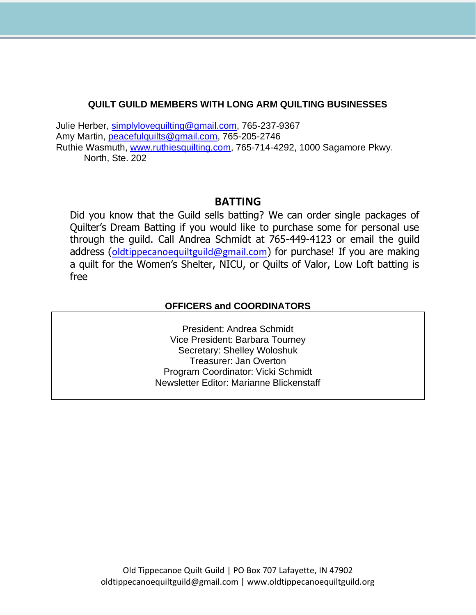#### **QUILT GUILD MEMBERS WITH LONG ARM QUILTING BUSINESSES**

Julie Herber, [simplylovequilting@gmail.com,](mailto:simplylovequilting@gmail.com) 765-237-9367 Amy Martin, [peacefulquilts@gmail.com,](mailto:peacefulquilts@gmail.com) 765-205-2746 Ruthie Wasmuth, [www.ruthiesquilting.com,](http://www.ruthiesquilting.com/) 765-714-4292, 1000 Sagamore Pkwy. North, Ste. 202

#### **BATTING**

Did you know that the Guild sells batting? We can order single packages of Quilter's Dream Batting if you would like to purchase some for personal use through the guild. Call Andrea Schmidt at 765-449-4123 or email the guild address ([oldtippecanoequiltguild@gmail.com](mailto:oldtippecanoequiltguild@gmail.com)) for purchase! If you are making a quilt for the Women's Shelter, NICU, or Quilts of Valor, Low Loft batting is free

#### **OFFICERS and COORDINATORS**

President: Andrea Schmidt Vice President: Barbara Tourney Secretary: Shelley Woloshuk Treasurer: Jan Overton Program Coordinator: Vicki Schmidt Newsletter Editor: Marianne Blickenstaff